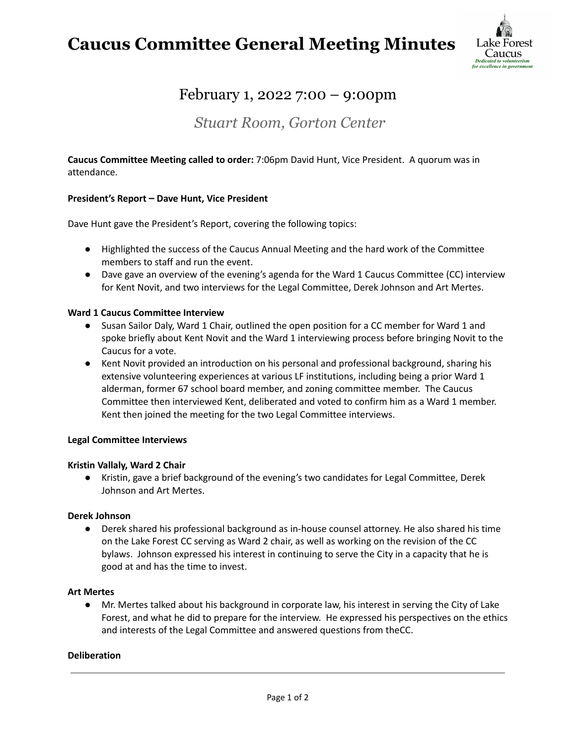## **Caucus Committee General Meeting Minutes**



## February 1, 2022 7:00 – 9:00pm

### *Stuart Room, Gorton Center*

**Caucus Committee Meeting called to order:** 7:06pm David Hunt, Vice President. A quorum was in attendance.

#### **President's Report – Dave Hunt, Vice President**

Dave Hunt gave the President's Report, covering the following topics:

- Highlighted the success of the Caucus Annual Meeting and the hard work of the Committee members to staff and run the event.
- Dave gave an overview of the evening's agenda for the Ward 1 Caucus Committee (CC) interview for Kent Novit, and two interviews for the Legal Committee, Derek Johnson and Art Mertes.

#### **Ward 1 Caucus Committee Interview**

- Susan Sailor Daly, Ward 1 Chair, outlined the open position for a CC member for Ward 1 and spoke briefly about Kent Novit and the Ward 1 interviewing process before bringing Novit to the Caucus for a vote.
- Kent Novit provided an introduction on his personal and professional background, sharing his extensive volunteering experiences at various LF institutions, including being a prior Ward 1 alderman, former 67 school board member, and zoning committee member. The Caucus Committee then interviewed Kent, deliberated and voted to confirm him as a Ward 1 member. Kent then joined the meeting for the two Legal Committee interviews.

#### **Legal Committee Interviews**

#### **Kristin Vallaly, Ward 2 Chair**

● Kristin, gave a brief background of the evening's two candidates for Legal Committee, Derek Johnson and Art Mertes.

#### **Derek Johnson**

● Derek shared his professional background as in-house counsel attorney. He also shared his time on the Lake Forest CC serving as Ward 2 chair, as well as working on the revision of the CC bylaws. Johnson expressed his interest in continuing to serve the City in a capacity that he is good at and has the time to invest.

#### **Art Mertes**

● Mr. Mertes talked about his background in corporate law, his interest in serving the City of Lake Forest, and what he did to prepare for the interview. He expressed his perspectives on the ethics and interests of the Legal Committee and answered questions from theCC.

#### **Deliberation**